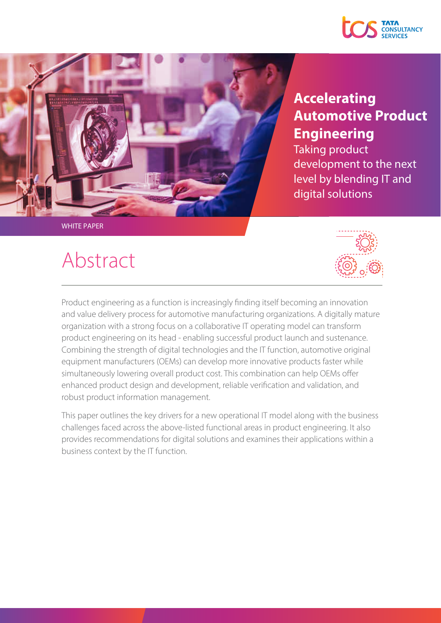



### **Accelerating Automotive Product Engineering**

Taking product development to the next level by blending IT and digital solutions

## Abstract



Product engineering as a function is increasingly finding itself becoming an innovation and value delivery process for automotive manufacturing organizations. A digitally mature organization with a strong focus on a collaborative IT operating model can transform product engineering on its head - enabling successful product launch and sustenance. Combining the strength of digital technologies and the IT function, automotive original equipment manufacturers (OEMs) can develop more innovative products faster while simultaneously lowering overall product cost. This combination can help OEMs offer enhanced product design and development, reliable verification and validation, and robust product information management.

This paper outlines the key drivers for a new operational IT model along with the business challenges faced across the above-listed functional areas in product engineering. It also provides recommendations for digital solutions and examines their applications within a business context by the IT function.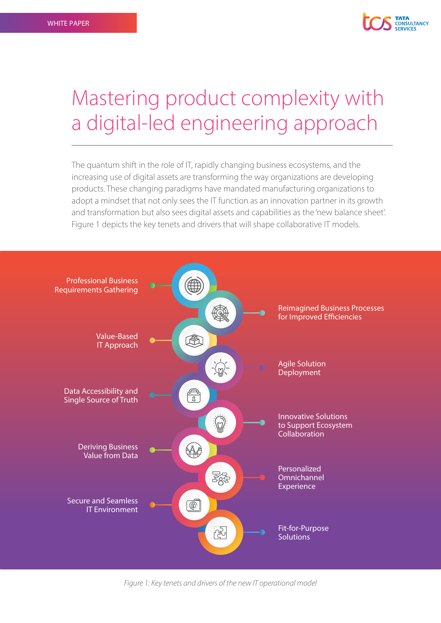

## Mastering product complexity with a digital-led engineering approach

The quantum shift in the role of IT, rapidly changing business ecosystems, and the increasing use of digital assets are transforming the way organizations are developing products. These changing paradigms have mandated manufacturing organizations to adopt a mindset that not only sees the IT function as an innovation partner in its growth and transformation but also sees digital assets and capabilities as the 'new balance sheet'. Figure 1 depicts the key tenets and drivers that will shape collaborative IT models.



*Figure 1: Key tenets and drivers of the new IT operational model*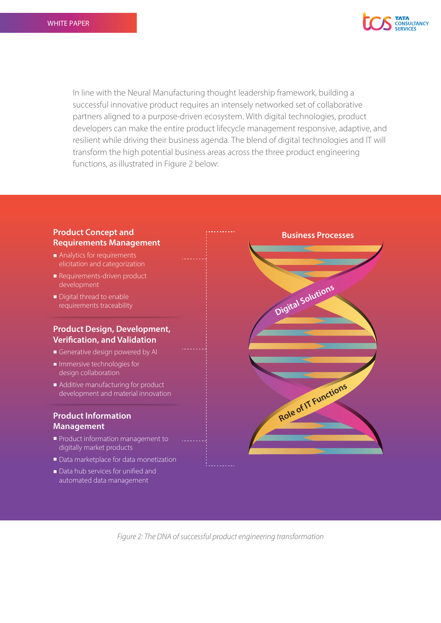

In line with the Neural Manufacturing thought leadership framework, building a successful innovative product requires an intensely networked set of collaborative partners aligned to a purpose-driven ecosystem. With digital technologies, product developers can make the entire product lifecycle management responsive, adaptive, and resilient while driving their business agenda. The blend of digital technologies and IT will transform the high potential business areas across the three product engineering functions, as illustrated in Figure 2 below:

### **Product Concept and Requirements Management**

- Analytics for requirements elicitation and categorization
- Requirements-driven product development
- Digital thread to enable requirements traceability

#### **Product Design, Development, Verification, and Validation**

- Generative design powered by AI
- Immersive technologies for design collaboration
- Additive manufacturing for product development and material innovation

#### **Product Information Management**

- Product information management to digitally market products
- Data marketplace for data monetization
- $\blacksquare$  Data hub services for unified and automated data management



*Figure 2: The DNA of successful product engineering transformation*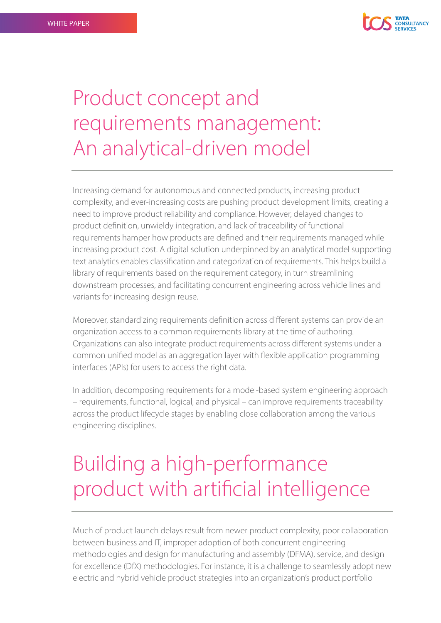

# Product concept and requirements management: An analytical-driven model

Increasing demand for autonomous and connected products, increasing product complexity, and ever-increasing costs are pushing product development limits, creating a need to improve product reliability and compliance. However, delayed changes to product definition, unwieldy integration, and lack of traceability of functional requirements hamper how products are defined and their requirements managed while increasing product cost. A digital solution underpinned by an analytical model supporting text analytics enables classification and categorization of requirements. This helps build a library of requirements based on the requirement category, in turn streamlining downstream processes, and facilitating concurrent engineering across vehicle lines and variants for increasing design reuse.

Moreover, standardizing requirements definition across different systems can provide an organization access to a common requirements library at the time of authoring. Organizations can also integrate product requirements across different systems under a common unified model as an aggregation layer with flexible application programming interfaces (APIs) for users to access the right data.

In addition, decomposing requirements for a model-based system engineering approach – requirements, functional, logical, and physical – can improve requirements traceability across the product lifecycle stages by enabling close collaboration among the various engineering disciplines.

# Building a high-performance product with artificial intelligence

Much of product launch delays result from newer product complexity, poor collaboration between business and IT, improper adoption of both concurrent engineering methodologies and design for manufacturing and assembly (DFMA), service, and design for excellence (DfX) methodologies. For instance, it is a challenge to seamlessly adopt new electric and hybrid vehicle product strategies into an organization's product portfolio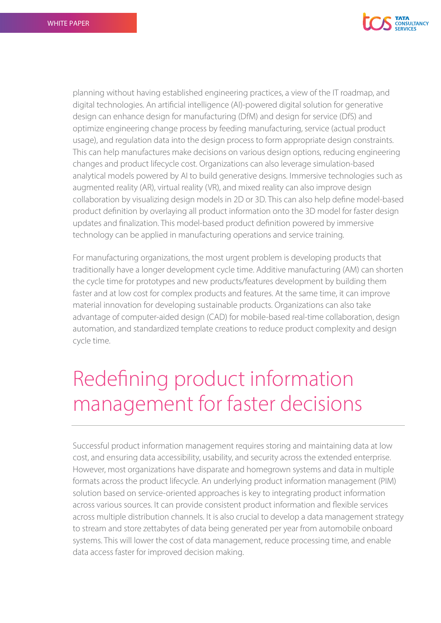

planning without having established engineering practices, a view of the IT roadmap, and digital technologies. An artificial intelligence (AI)-powered digital solution for generative design can enhance design for manufacturing (DfM) and design for service (DfS) and optimize engineering change process by feeding manufacturing, service (actual product usage), and regulation data into the design process to form appropriate design constraints. This can help manufactures make decisions on various design options, reducing engineering changes and product lifecycle cost. Organizations can also leverage simulation-based analytical models powered by AI to build generative designs. Immersive technologies such as augmented reality (AR), virtual reality (VR), and mixed reality can also improve design collaboration by visualizing design models in 2D or 3D. This can also help define model-based product definition by overlaying all product information onto the 3D model for faster design updates and finalization. This model-based product definition powered by immersive technology can be applied in manufacturing operations and service training.

For manufacturing organizations, the most urgent problem is developing products that traditionally have a longer development cycle time. Additive manufacturing (AM) can shorten the cycle time for prototypes and new products/features development by building them faster and at low cost for complex products and features. At the same time, it can improve material innovation for developing sustainable products. Organizations can also take advantage of computer-aided design (CAD) for mobile-based real-time collaboration, design automation, and standardized template creations to reduce product complexity and design cycle time.

# Redefining product information management for faster decisions

Successful product information management requires storing and maintaining data at low cost, and ensuring data accessibility, usability, and security across the extended enterprise. However, most organizations have disparate and homegrown systems and data in multiple formats across the product lifecycle. An underlying product information management (PIM) solution based on service-oriented approaches is key to integrating product information across various sources. It can provide consistent product information and flexible services across multiple distribution channels. It is also crucial to develop a data management strategy to stream and store zettabytes of data being generated per year from automobile onboard systems. This will lower the cost of data management, reduce processing time, and enable data access faster for improved decision making.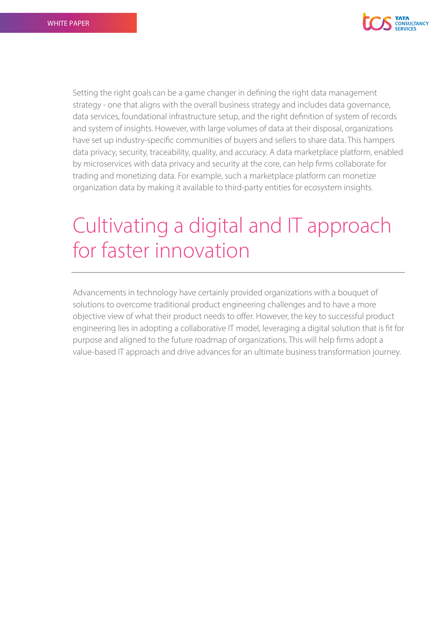

Setting the right goals can be a game changer in defining the right data management strategy - one that aligns with the overall business strategy and includes data governance, data services, foundational infrastructure setup, and the right definition of system of records and system of insights. However, with large volumes of data at their disposal, organizations have set up industry-specific communities of buyers and sellers to share data. This hampers data privacy, security, traceability, quality, and accuracy. A data marketplace platform, enabled by microservices with data privacy and security at the core, can help firms collaborate for trading and monetizing data. For example, such a marketplace platform can monetize organization data by making it available to third-party entities for ecosystem insights.

# Cultivating a digital and IT approach for faster innovation

Advancements in technology have certainly provided organizations with a bouquet of solutions to overcome traditional product engineering challenges and to have a more objective view of what their product needs to offer. However, the key to successful product engineering lies in adopting a collaborative IT model, leveraging a digital solution that is fit for purpose and aligned to the future roadmap of organizations. This will help firms adopt a value-based IT approach and drive advances for an ultimate business transformation journey.